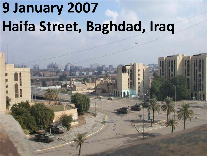# **9 January 2007 Haifa Street, Baghdad, Iraq**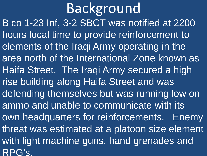B co 1-23 Inf, 3-2 SBCT was notified at 2200 hours local time to provide reinforcement to elements of the Iraqi Army operating in the area north of the International Zone known as Haifa Street. The Iraqi Army secured a high rise building along Haifa Street and was defending themselves but was running low on ammo and unable to communicate with its own headquarters for reinforcements. Enemy threat was estimated at a platoon size element with light machine guns, hand grenades and RPG's. Background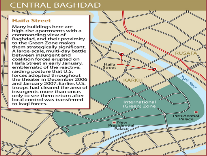#### **CENTRAL BAGHDAD**

#### **Haifa Street**

 $\begin{matrix} \mathbb{Z} & \mathbb{Z} \end{matrix}$ 

Many buildings here are high-rise apartments with a commanding view of Baghdad, and their proximity to the Green Zone makes them strategically significant. A large-scale, multi-day battle between insurgent and coalition forces erupted on Haifa Street in early January, emblematic of the reactive. raiding posture that U.S. forces adopted throughout the theater in December 2006 and January 2007. Earlier, U.S. troops had cleared the area of insurgents more than once, only to see them return after local control was transferred to Iraqi forces.

**Haifa** 

Street

**III** New Presidentia Palace

KARKH

International

(Green) Zone

**RUSAI** 

Tigris River

Presidential Palace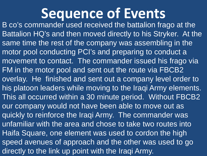## **Sequence of Events**

B co's commander used received the battalion frago at the Battalion HQ's and then moved directly to his Stryker. At the same time the rest of the company was assembling in the motor pool conducting PCI's and preparing to conduct a movement to contact. The commander issued his frago via FM in the motor pool and sent out the route via FBCB2 overlay. He finished and sent out a company level order to his platoon leaders while moving to the Iraqi Army elements. This all occurred within a 30 minute period. Without FBCB2 our company would not have been able to move out as quickly to reinforce the Iraqi Army. The commander was unfamiliar with the area and chose to take two routes into Haifa Square, one element was used to cordon the high speed avenues of approach and the other was used to go directly to the link up point with the Iraqi Army.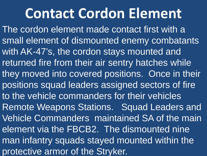## **Contact Cordon Element**

The cordon element made contact first with a small element of dismounted enemy combatants with AK-47's, the cordon stays mounted and returned fire from their air sentry hatches while they moved into covered positions. Once in their positions squad leaders assigned sectors of fire to the vehicle commanders for their vehicles Remote Weapons Stations. Squad Leaders and Vehicle Commanders maintained SA of the main element via the FBCB2. The dismounted nine man infantry squads stayed mounted within the protective armor of the Stryker.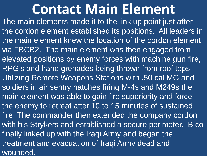### **Contact Main Element**

The main elements made it to the link up point just after the cordon element established its positions. All leaders in the main element knew the location of the cordon element via FBCB2. The main element was then engaged from elevated positions by enemy forces with machine gun fire, RPG's and hand grenades being thrown from roof tops. Utilizing Remote Weapons Stations with .50 cal MG and soldiers in air sentry hatches firing M-4s and M249s the main element was able to gain fire superiority and force the enemy to retreat after 10 to 15 minutes of sustained fire. The commander then extended the company cordon with his Strykers and established a secure perimeter. B co finally linked up with the Iraqi Army and began the treatment and evacuation of Iraqi Army dead and wounded.